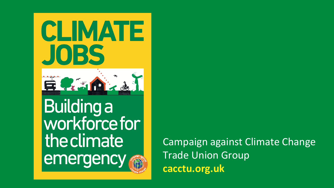



Building a<br>workforce for the climate emergency

Campaign against Climate Change Trade Union Group **cacctu.org.uk**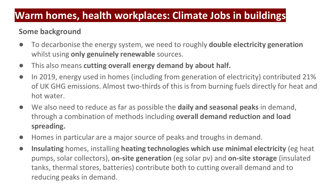## **Warm homes, health workplaces: Climate Jobs in buildings**

#### **Some background**

- To decarbonise the energy system, we need to roughly **double electricity generation**  whilst using **only genuinely renewable** sources.
- This also means **cutting overall energy demand by about half.**
- In 2019, energy used in homes (including from generation of electricity) contributed 21% of UK GHG emissions. Almost two-thirds of this is from burning fuels directly for heat and hot water.
- We also need to reduce as far as possible the **daily and seasonal peaks** in demand, through a combination of methods including **overall demand reduction and load spreading.**
- Homes in particular are a major source of peaks and troughs in demand.
- **Insulating** homes, installing **heating technologies which use minimal electricity** (eg heat pumps, solar collectors), **on-site generation** (eg solar pv) and **on-site storage** (insulated tanks, thermal stores, batteries) contribute both to cutting overall demand and to reducing peaks in demand.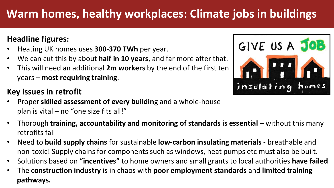# **Warm homes, healthy workplaces: Climate jobs in buildings**

### **Headline figures:**

- Heating UK homes uses **300-370 TWh** per year.
- We can cut this by about **half in 10 years**, and far more after that.
- This will need an additional **2m workers** by the end of the first ten years – **most requiring training**.

#### **Key issues in retrofit**

- Proper **skilled assessment of every buildin**g and a whole-house plan is vital – no "one size fits all!"
- Thorough **training, accountability and monitoring of standards is essential** without this many retrofits fail
- Need to **build supply chains** for sustainable **low-carbon insulating materials** breathable and non-toxic! Supply chains for components such as windows, heat pumps etc must also be built.
- Solutions based on **"incentives"** to home owners and small grants to local authorities **have failed**
- The **construction industry** is in chaos with **poor employment standards** and **limited training pathways.**

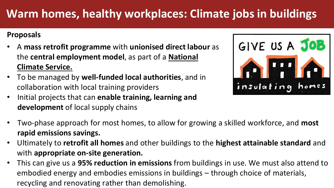# **Warm homes, healthy workplaces: Climate jobs in buildings**

#### **Proposals**

- A **mass retrofit programme** with **unionised direct labour** as the **central employment model**, as part of a **National Climate Service.**
- To be managed by **well-funded local authorities**, and in collaboration with local training providers
- Initial projects that can **enable training, learning and development** of local supply chains



- Two-phase approach for most homes, to allow for growing a skilled workforce, and **most rapid emissions savings.**
- Ultimately to **retrofit all homes** and other buildings to the **highest attainable standard** and with **appropriate on-site generation.**
- This can give us a **95% reduction in emissions** from buildings in use. We must also attend to embodied energy and embodies emissions in buildings – through choice of materials, recycling and renovating rather than demolishing.